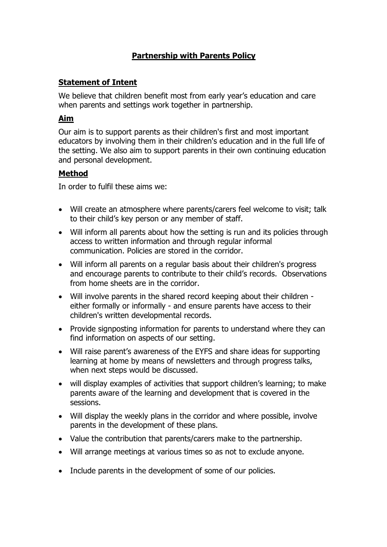# **Partnership with Parents Policy**

## **Statement of Intent**

We believe that children benefit most from early year's education and care when parents and settings work together in partnership.

#### **Aim**

Our aim is to support parents as their children's first and most important educators by involving them in their children's education and in the full life of the setting. We also aim to support parents in their own continuing education and personal development.

### **Method**

In order to fulfil these aims we:

- Will create an atmosphere where parents/carers feel welcome to visit; talk to their child's key person or any member of staff.
- Will inform all parents about how the setting is run and its policies through access to written information and through regular informal communication. Policies are stored in the corridor.
- Will inform all parents on a regular basis about their children's progress and encourage parents to contribute to their child's records. Observations from home sheets are in the corridor.
- Will involve parents in the shared record keeping about their children either formally or informally - and ensure parents have access to their children's written developmental records.
- Provide signposting information for parents to understand where they can find information on aspects of our setting.
- Will raise parent's awareness of the EYFS and share ideas for supporting learning at home by means of newsletters and through progress talks, when next steps would be discussed.
- will display examples of activities that support children's learning; to make parents aware of the learning and development that is covered in the sessions.
- Will display the weekly plans in the corridor and where possible, involve parents in the development of these plans.
- Value the contribution that parents/carers make to the partnership.
- Will arrange meetings at various times so as not to exclude anyone.
- Include parents in the development of some of our policies.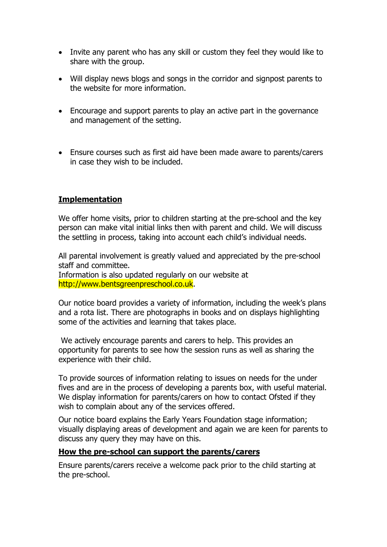- Invite any parent who has any skill or custom they feel they would like to share with the group.
- Will display news blogs and songs in the corridor and signpost parents to the website for more information.
- Encourage and support parents to play an active part in the governance and management of the setting.
- Ensure courses such as first aid have been made aware to parents/carers in case they wish to be included.

### **Implementation**

We offer home visits, prior to children starting at the pre-school and the key person can make vital initial links then with parent and child. We will discuss the settling in process, taking into account each child's individual needs.

All parental involvement is greatly valued and appreciated by the pre-school staff and committee.

Information is also updated regularly on our website at http://www.bentsgreenpreschool.co.uk.

Our notice board provides a variety of information, including the week's plans and a rota list. There are photographs in books and on displays highlighting some of the activities and learning that takes place.

We actively encourage parents and carers to help. This provides an opportunity for parents to see how the session runs as well as sharing the experience with their child.

To provide sources of information relating to issues on needs for the under fives and are in the process of developing a parents box, with useful material. We display information for parents/carers on how to contact Ofsted if they wish to complain about any of the services offered.

Our notice board explains the Early Years Foundation stage information; visually displaying areas of development and again we are keen for parents to discuss any query they may have on this.

#### **How the pre-school can support the parents/carers**

Ensure parents/carers receive a welcome pack prior to the child starting at the pre-school.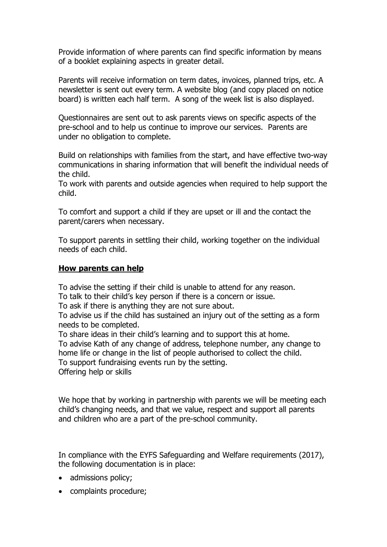Provide information of where parents can find specific information by means of a booklet explaining aspects in greater detail.

Parents will receive information on term dates, invoices, planned trips, etc. A newsletter is sent out every term. A website blog (and copy placed on notice board) is written each half term. A song of the week list is also displayed.

Questionnaires are sent out to ask parents views on specific aspects of the pre-school and to help us continue to improve our services. Parents are under no obligation to complete.

Build on relationships with families from the start, and have effective two-way communications in sharing information that will benefit the individual needs of the child.

To work with parents and outside agencies when required to help support the child.

To comfort and support a child if they are upset or ill and the contact the parent/carers when necessary.

To support parents in settling their child, working together on the individual needs of each child.

#### **How parents can help**

To advise the setting if their child is unable to attend for any reason.

To talk to their child's key person if there is a concern or issue.

To ask if there is anything they are not sure about.

To advise us if the child has sustained an injury out of the setting as a form needs to be completed.

To share ideas in their child's learning and to support this at home.

To advise Kath of any change of address, telephone number, any change to home life or change in the list of people authorised to collect the child. To support fundraising events run by the setting.

Offering help or skills

We hope that by working in partnership with parents we will be meeting each child's changing needs, and that we value, respect and support all parents and children who are a part of the pre-school community.

In compliance with the EYFS Safeguarding and Welfare requirements (2017), the following documentation is in place:

- admissions policy;
- complaints procedure;